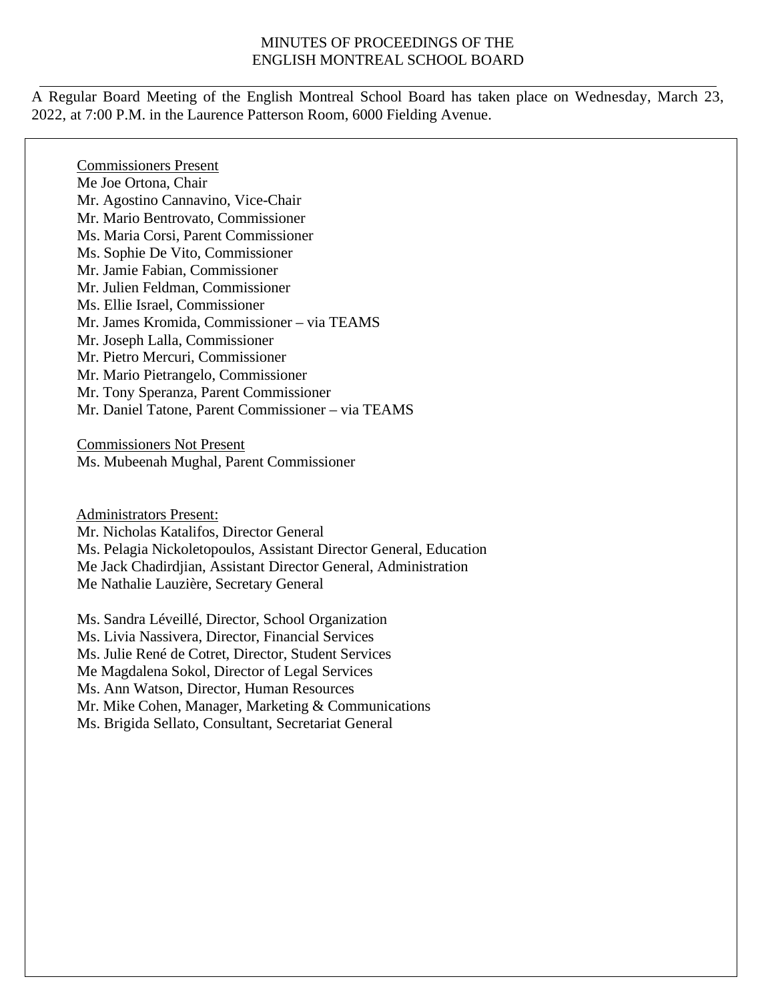#### MINUTES OF PROCEEDINGS OF THE ENGLISH MONTREAL SCHOOL BOARD

A Regular Board Meeting of the English Montreal School Board has taken place on Wednesday, March 23, 2022, at 7:00 P.M. in the Laurence Patterson Room, 6000 Fielding Avenue.

Commissioners Present Me Joe Ortona, Chair Mr. Agostino Cannavino, Vice-Chair Mr. Mario Bentrovato, Commissioner Ms. Maria Corsi, Parent Commissioner Ms. Sophie De Vito, Commissioner Mr. Jamie Fabian, Commissioner Mr. Julien Feldman, Commissioner Ms. Ellie Israel, Commissioner Mr. James Kromida, Commissioner – via TEAMS Mr. Joseph Lalla, Commissioner Mr. Pietro Mercuri, Commissioner Mr. Mario Pietrangelo, Commissioner Mr. Tony Speranza, Parent Commissioner Mr. Daniel Tatone, Parent Commissioner – via TEAMS

Commissioners Not Present Ms. Mubeenah Mughal, Parent Commissioner

Administrators Present: Mr. Nicholas Katalifos, Director General Ms. Pelagia Nickoletopoulos, Assistant Director General, Education Me Jack Chadirdjian, Assistant Director General, Administration Me Nathalie Lauzière, Secretary General

Ms. Sandra Léveillé, Director, School Organization Ms. Livia Nassivera, Director, Financial Services Ms. Julie René de Cotret, Director, Student Services Me Magdalena Sokol, Director of Legal Services Ms. Ann Watson, Director, Human Resources Mr. Mike Cohen, Manager, Marketing & Communications Ms. Brigida Sellato, Consultant, Secretariat General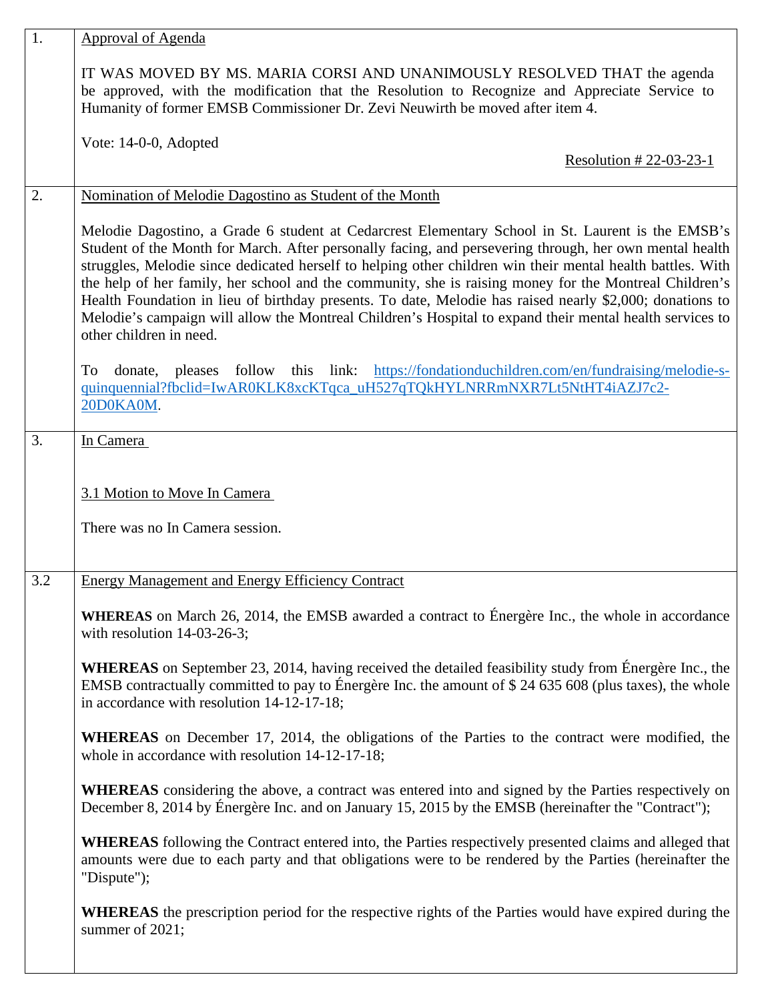| 1.  | Approval of Agenda                                                                                                                                                                                                                                                                                                                                                                                                                                                                                                                                                                                                                                                                      |
|-----|-----------------------------------------------------------------------------------------------------------------------------------------------------------------------------------------------------------------------------------------------------------------------------------------------------------------------------------------------------------------------------------------------------------------------------------------------------------------------------------------------------------------------------------------------------------------------------------------------------------------------------------------------------------------------------------------|
|     | IT WAS MOVED BY MS. MARIA CORSI AND UNANIMOUSLY RESOLVED THAT the agenda<br>be approved, with the modification that the Resolution to Recognize and Appreciate Service to<br>Humanity of former EMSB Commissioner Dr. Zevi Neuwirth be moved after item 4.                                                                                                                                                                                                                                                                                                                                                                                                                              |
|     | Vote: 14-0-0, Adopted<br>Resolution #22-03-23-1                                                                                                                                                                                                                                                                                                                                                                                                                                                                                                                                                                                                                                         |
| 2.  | Nomination of Melodie Dagostino as Student of the Month                                                                                                                                                                                                                                                                                                                                                                                                                                                                                                                                                                                                                                 |
|     | Melodie Dagostino, a Grade 6 student at Cedarcrest Elementary School in St. Laurent is the EMSB's<br>Student of the Month for March. After personally facing, and persevering through, her own mental health<br>struggles, Melodie since dedicated herself to helping other children win their mental health battles. With<br>the help of her family, her school and the community, she is raising money for the Montreal Children's<br>Health Foundation in lieu of birthday presents. To date, Melodie has raised nearly \$2,000; donations to<br>Melodie's campaign will allow the Montreal Children's Hospital to expand their mental health services to<br>other children in need. |
|     | donate, pleases follow this link: https://fondationduchildren.com/en/fundraising/melodie-s-<br>To<br>quinquennial?fbclid=IwAR0KLK8xcKTqca_uH527qTQkHYLNRRmNXR7Lt5NtHT4iAZJ7c2-<br>20D0KA0M.                                                                                                                                                                                                                                                                                                                                                                                                                                                                                             |
| 3.  | In Camera                                                                                                                                                                                                                                                                                                                                                                                                                                                                                                                                                                                                                                                                               |
|     | 3.1 Motion to Move In Camera<br>There was no In Camera session.                                                                                                                                                                                                                                                                                                                                                                                                                                                                                                                                                                                                                         |
| 3.2 | <b>Energy Management and Energy Efficiency Contract</b>                                                                                                                                                                                                                                                                                                                                                                                                                                                                                                                                                                                                                                 |
|     | <b>WHEREAS</b> on March 26, 2014, the EMSB awarded a contract to Energère Inc., the whole in accordance<br>with resolution $14-03-26-3$ ;                                                                                                                                                                                                                                                                                                                                                                                                                                                                                                                                               |
|     | <b>WHEREAS</b> on September 23, 2014, having received the detailed feasibility study from Energère Inc., the<br>EMSB contractually committed to pay to Énergère Inc. the amount of \$24 635 608 (plus taxes), the whole<br>in accordance with resolution 14-12-17-18;                                                                                                                                                                                                                                                                                                                                                                                                                   |
|     | <b>WHEREAS</b> on December 17, 2014, the obligations of the Parties to the contract were modified, the<br>whole in accordance with resolution 14-12-17-18;                                                                                                                                                                                                                                                                                                                                                                                                                                                                                                                              |
|     | <b>WHEREAS</b> considering the above, a contract was entered into and signed by the Parties respectively on<br>December 8, 2014 by Énergère Inc. and on January 15, 2015 by the EMSB (hereinafter the "Contract");                                                                                                                                                                                                                                                                                                                                                                                                                                                                      |
|     | <b>WHEREAS</b> following the Contract entered into, the Parties respectively presented claims and alleged that<br>amounts were due to each party and that obligations were to be rendered by the Parties (hereinafter the<br>"Dispute");                                                                                                                                                                                                                                                                                                                                                                                                                                                |
|     | <b>WHEREAS</b> the prescription period for the respective rights of the Parties would have expired during the<br>summer of 2021;                                                                                                                                                                                                                                                                                                                                                                                                                                                                                                                                                        |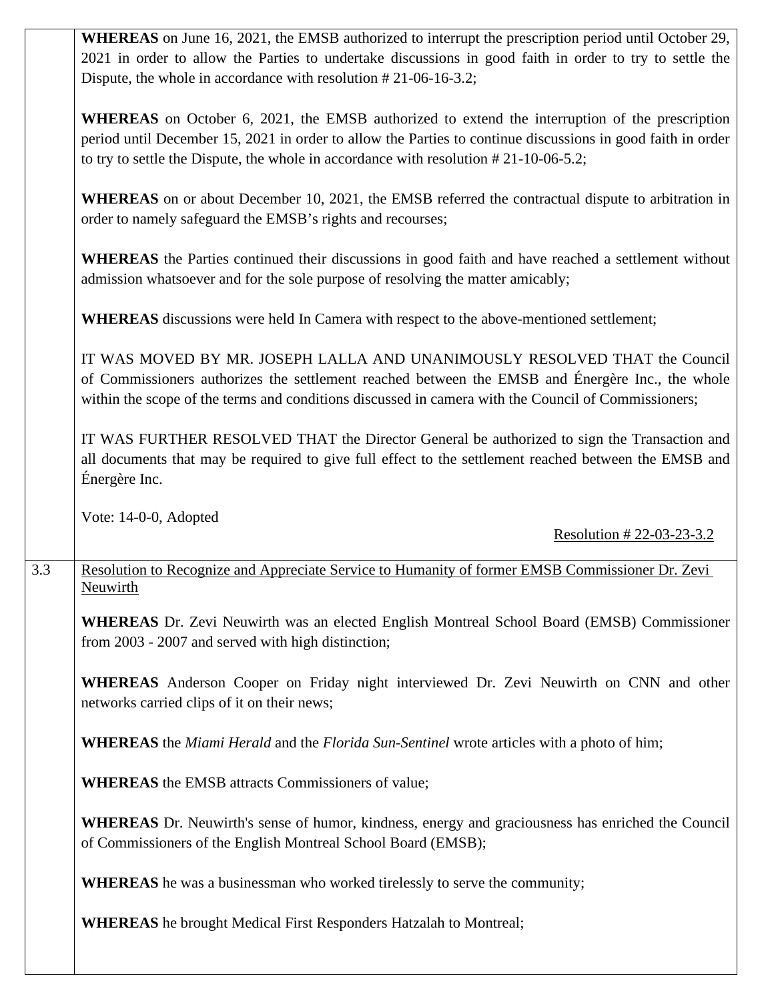|     | WHEREAS on June 16, 2021, the EMSB authorized to interrupt the prescription period until October 29,<br>2021 in order to allow the Parties to undertake discussions in good faith in order to try to settle the<br>Dispute, the whole in accordance with resolution $#21-06-16-3.2;$                           |
|-----|----------------------------------------------------------------------------------------------------------------------------------------------------------------------------------------------------------------------------------------------------------------------------------------------------------------|
|     | <b>WHEREAS</b> on October 6, 2021, the EMSB authorized to extend the interruption of the prescription<br>period until December 15, 2021 in order to allow the Parties to continue discussions in good faith in order<br>to try to settle the Dispute, the whole in accordance with resolution $#21-10-06-5.2;$ |
|     | <b>WHEREAS</b> on or about December 10, 2021, the EMSB referred the contractual dispute to arbitration in<br>order to namely safeguard the EMSB's rights and recourses;                                                                                                                                        |
|     | <b>WHEREAS</b> the Parties continued their discussions in good faith and have reached a settlement without<br>admission whatsoever and for the sole purpose of resolving the matter amicably;                                                                                                                  |
|     | <b>WHEREAS</b> discussions were held In Camera with respect to the above-mentioned settlement;                                                                                                                                                                                                                 |
|     | IT WAS MOVED BY MR. JOSEPH LALLA AND UNANIMOUSLY RESOLVED THAT the Council<br>of Commissioners authorizes the settlement reached between the EMSB and Énergère Inc., the whole<br>within the scope of the terms and conditions discussed in camera with the Council of Commissioners;                          |
|     | IT WAS FURTHER RESOLVED THAT the Director General be authorized to sign the Transaction and<br>all documents that may be required to give full effect to the settlement reached between the EMSB and<br>Énergère Inc.                                                                                          |
|     | Vote: 14-0-0, Adopted<br>Resolution #22-03-23-3.2                                                                                                                                                                                                                                                              |
|     |                                                                                                                                                                                                                                                                                                                |
| 3.3 | Resolution to Recognize and Appreciate Service to Humanity of former EMSB Commissioner Dr. Zevi<br><b>Neuwirth</b>                                                                                                                                                                                             |
|     | WHEREAS Dr. Zevi Neuwirth was an elected English Montreal School Board (EMSB) Commissioner<br>from 2003 - 2007 and served with high distinction;                                                                                                                                                               |
|     | <b>WHEREAS</b> Anderson Cooper on Friday night interviewed Dr. Zevi Neuwirth on CNN and other<br>networks carried clips of it on their news;                                                                                                                                                                   |
|     | <b>WHEREAS</b> the <i>Miami Herald</i> and the <i>Florida Sun-Sentinel</i> wrote articles with a photo of him;                                                                                                                                                                                                 |
|     | <b>WHEREAS</b> the EMSB attracts Commissioners of value;                                                                                                                                                                                                                                                       |
|     | WHEREAS Dr. Neuwirth's sense of humor, kindness, energy and graciousness has enriched the Council<br>of Commissioners of the English Montreal School Board (EMSB);                                                                                                                                             |
|     | WHEREAS he was a businessman who worked tirelessly to serve the community;                                                                                                                                                                                                                                     |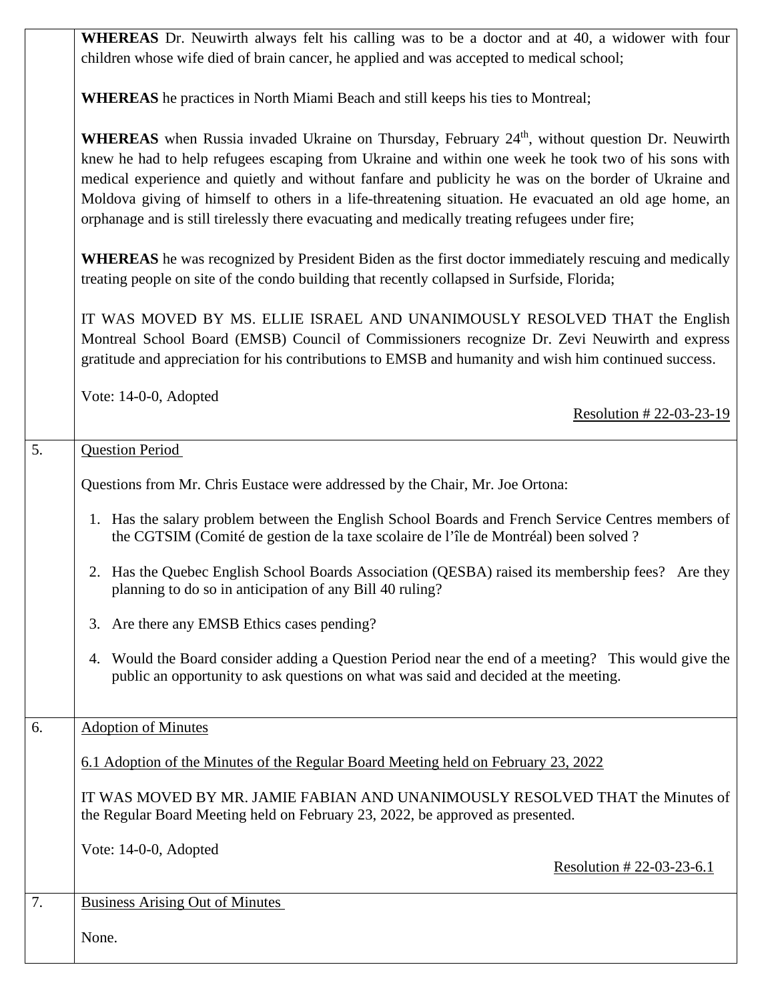|                  | WHEREAS Dr. Neuwirth always felt his calling was to be a doctor and at 40, a widower with four<br>children whose wife died of brain cancer, he applied and was accepted to medical school;                                                                                                                                                                                                                                                                                                                                                  |
|------------------|---------------------------------------------------------------------------------------------------------------------------------------------------------------------------------------------------------------------------------------------------------------------------------------------------------------------------------------------------------------------------------------------------------------------------------------------------------------------------------------------------------------------------------------------|
|                  | <b>WHEREAS</b> he practices in North Miami Beach and still keeps his ties to Montreal;                                                                                                                                                                                                                                                                                                                                                                                                                                                      |
|                  | <b>WHEREAS</b> when Russia invaded Ukraine on Thursday, February 24 <sup>th</sup> , without question Dr. Neuwirth<br>knew he had to help refugees escaping from Ukraine and within one week he took two of his sons with<br>medical experience and quietly and without fanfare and publicity he was on the border of Ukraine and<br>Moldova giving of himself to others in a life-threatening situation. He evacuated an old age home, an<br>orphanage and is still tirelessly there evacuating and medically treating refugees under fire; |
|                  | <b>WHEREAS</b> he was recognized by President Biden as the first doctor immediately rescuing and medically<br>treating people on site of the condo building that recently collapsed in Surfside, Florida;                                                                                                                                                                                                                                                                                                                                   |
|                  | IT WAS MOVED BY MS. ELLIE ISRAEL AND UNANIMOUSLY RESOLVED THAT the English<br>Montreal School Board (EMSB) Council of Commissioners recognize Dr. Zevi Neuwirth and express<br>gratitude and appreciation for his contributions to EMSB and humanity and wish him continued success.                                                                                                                                                                                                                                                        |
|                  | Vote: 14-0-0, Adopted<br>Resolution #22-03-23-19                                                                                                                                                                                                                                                                                                                                                                                                                                                                                            |
| $\overline{5}$ . | <b>Question Period</b>                                                                                                                                                                                                                                                                                                                                                                                                                                                                                                                      |
|                  | Questions from Mr. Chris Eustace were addressed by the Chair, Mr. Joe Ortona:                                                                                                                                                                                                                                                                                                                                                                                                                                                               |
|                  | 1. Has the salary problem between the English School Boards and French Service Centres members of<br>the CGTSIM (Comité de gestion de la taxe scolaire de l'île de Montréal) been solved ?                                                                                                                                                                                                                                                                                                                                                  |
|                  | 2. Has the Quebec English School Boards Association (QESBA) raised its membership fees? Are they<br>planning to do so in anticipation of any Bill 40 ruling?                                                                                                                                                                                                                                                                                                                                                                                |
|                  | Are there any EMSB Ethics cases pending?<br>3.                                                                                                                                                                                                                                                                                                                                                                                                                                                                                              |
|                  | Would the Board consider adding a Question Period near the end of a meeting? This would give the<br>4.<br>public an opportunity to ask questions on what was said and decided at the meeting.                                                                                                                                                                                                                                                                                                                                               |
| 6.               | <b>Adoption of Minutes</b>                                                                                                                                                                                                                                                                                                                                                                                                                                                                                                                  |
|                  | 6.1 Adoption of the Minutes of the Regular Board Meeting held on February 23, 2022                                                                                                                                                                                                                                                                                                                                                                                                                                                          |
|                  | IT WAS MOVED BY MR. JAMIE FABIAN AND UNANIMOUSLY RESOLVED THAT the Minutes of<br>the Regular Board Meeting held on February 23, 2022, be approved as presented.                                                                                                                                                                                                                                                                                                                                                                             |
|                  | Vote: 14-0-0, Adopted<br>Resolution #22-03-23-6.1                                                                                                                                                                                                                                                                                                                                                                                                                                                                                           |
| 7.               | <b>Business Arising Out of Minutes</b>                                                                                                                                                                                                                                                                                                                                                                                                                                                                                                      |
|                  | None.                                                                                                                                                                                                                                                                                                                                                                                                                                                                                                                                       |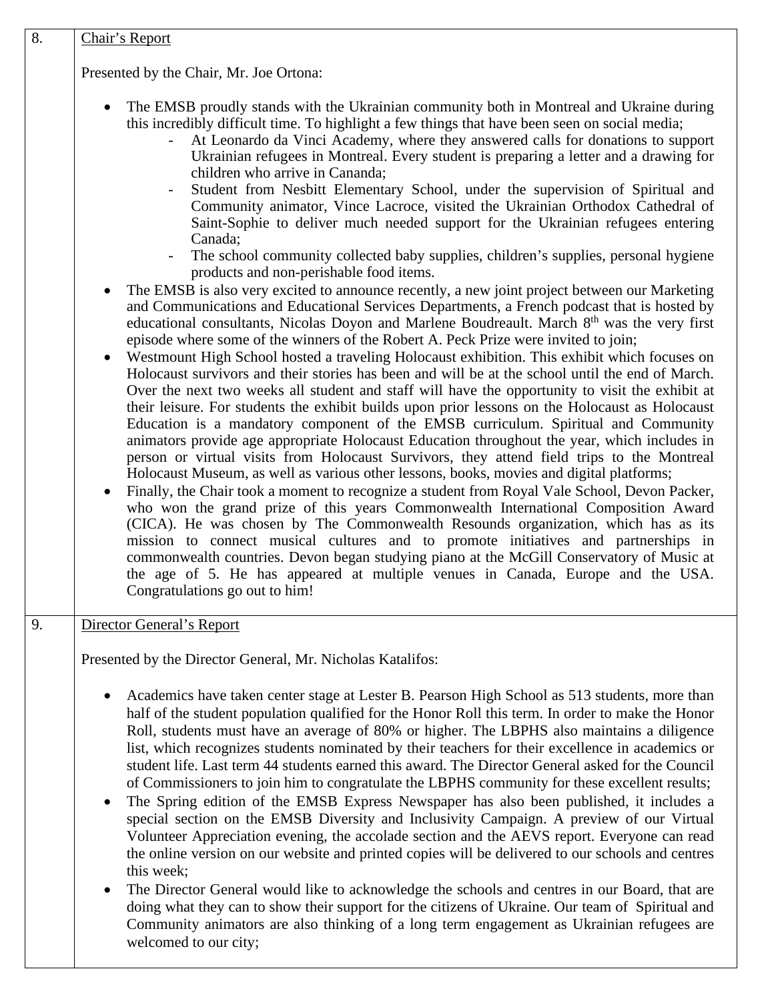| Chair's Report                                                                                                                                                                                                                                                                                                                                                                                                                                                                                                                                                                                                                                                                                                                                                                                                                                                                                                                                                                                                                                                                                                                                                                                                                                                                                                                                                                                                                                                                                                                                                                                                                                                                                                                                                                                                                                                 |
|----------------------------------------------------------------------------------------------------------------------------------------------------------------------------------------------------------------------------------------------------------------------------------------------------------------------------------------------------------------------------------------------------------------------------------------------------------------------------------------------------------------------------------------------------------------------------------------------------------------------------------------------------------------------------------------------------------------------------------------------------------------------------------------------------------------------------------------------------------------------------------------------------------------------------------------------------------------------------------------------------------------------------------------------------------------------------------------------------------------------------------------------------------------------------------------------------------------------------------------------------------------------------------------------------------------------------------------------------------------------------------------------------------------------------------------------------------------------------------------------------------------------------------------------------------------------------------------------------------------------------------------------------------------------------------------------------------------------------------------------------------------------------------------------------------------------------------------------------------------|
| Presented by the Chair, Mr. Joe Ortona:                                                                                                                                                                                                                                                                                                                                                                                                                                                                                                                                                                                                                                                                                                                                                                                                                                                                                                                                                                                                                                                                                                                                                                                                                                                                                                                                                                                                                                                                                                                                                                                                                                                                                                                                                                                                                        |
| The EMSB proudly stands with the Ukrainian community both in Montreal and Ukraine during<br>$\bullet$<br>this incredibly difficult time. To highlight a few things that have been seen on social media;<br>At Leonardo da Vinci Academy, where they answered calls for donations to support<br>Ukrainian refugees in Montreal. Every student is preparing a letter and a drawing for<br>children who arrive in Cananda;<br>Student from Nesbitt Elementary School, under the supervision of Spiritual and<br>Community animator, Vince Lacroce, visited the Ukrainian Orthodox Cathedral of<br>Saint-Sophie to deliver much needed support for the Ukrainian refugees entering                                                                                                                                                                                                                                                                                                                                                                                                                                                                                                                                                                                                                                                                                                                                                                                                                                                                                                                                                                                                                                                                                                                                                                                 |
| Canada;<br>The school community collected baby supplies, children's supplies, personal hygiene                                                                                                                                                                                                                                                                                                                                                                                                                                                                                                                                                                                                                                                                                                                                                                                                                                                                                                                                                                                                                                                                                                                                                                                                                                                                                                                                                                                                                                                                                                                                                                                                                                                                                                                                                                 |
| products and non-perishable food items.<br>The EMSB is also very excited to announce recently, a new joint project between our Marketing<br>$\bullet$<br>and Communications and Educational Services Departments, a French podcast that is hosted by<br>educational consultants, Nicolas Doyon and Marlene Boudreault. March 8 <sup>th</sup> was the very first<br>episode where some of the winners of the Robert A. Peck Prize were invited to join;<br>Westmount High School hosted a traveling Holocaust exhibition. This exhibit which focuses on<br>$\bullet$<br>Holocaust survivors and their stories has been and will be at the school until the end of March.<br>Over the next two weeks all student and staff will have the opportunity to visit the exhibit at<br>their leisure. For students the exhibit builds upon prior lessons on the Holocaust as Holocaust<br>Education is a mandatory component of the EMSB curriculum. Spiritual and Community<br>animators provide age appropriate Holocaust Education throughout the year, which includes in<br>person or virtual visits from Holocaust Survivors, they attend field trips to the Montreal<br>Holocaust Museum, as well as various other lessons, books, movies and digital platforms;<br>Finally, the Chair took a moment to recognize a student from Royal Vale School, Devon Packer,<br>$\bullet$<br>who won the grand prize of this years Commonwealth International Composition Award<br>(CICA). He was chosen by The Commonwealth Resounds organization, which has as its<br>mission to connect musical cultures and to promote initiatives and partnerships in<br>commonwealth countries. Devon began studying piano at the McGill Conservatory of Music at<br>the age of 5. He has appeared at multiple venues in Canada, Europe and the USA.<br>Congratulations go out to him! |
| Director General's Report                                                                                                                                                                                                                                                                                                                                                                                                                                                                                                                                                                                                                                                                                                                                                                                                                                                                                                                                                                                                                                                                                                                                                                                                                                                                                                                                                                                                                                                                                                                                                                                                                                                                                                                                                                                                                                      |
| Presented by the Director General, Mr. Nicholas Katalifos:                                                                                                                                                                                                                                                                                                                                                                                                                                                                                                                                                                                                                                                                                                                                                                                                                                                                                                                                                                                                                                                                                                                                                                                                                                                                                                                                                                                                                                                                                                                                                                                                                                                                                                                                                                                                     |
| Academics have taken center stage at Lester B. Pearson High School as 513 students, more than<br>$\bullet$<br>half of the student population qualified for the Honor Roll this term. In order to make the Honor<br>Roll, students must have an average of 80% or higher. The LBPHS also maintains a diligence<br>list, which recognizes students nominated by their teachers for their excellence in academics or<br>student life. Last term 44 students earned this award. The Director General asked for the Council<br>of Commissioners to join him to congratulate the LBPHS community for these excellent results;<br>The Spring edition of the EMSB Express Newspaper has also been published, it includes a<br>$\bullet$<br>special section on the EMSB Diversity and Inclusivity Campaign. A preview of our Virtual<br>Volunteer Appreciation evening, the accolade section and the AEVS report. Everyone can read<br>the online version on our website and printed copies will be delivered to our schools and centres<br>this week;<br>The Director General would like to acknowledge the schools and centres in our Board, that are<br>$\bullet$<br>doing what they can to show their support for the citizens of Ukraine. Our team of Spiritual and<br>Community animators are also thinking of a long term engagement as Ukrainian refugees are<br>welcomed to our city;                                                                                                                                                                                                                                                                                                                                                                                                                                                                          |
|                                                                                                                                                                                                                                                                                                                                                                                                                                                                                                                                                                                                                                                                                                                                                                                                                                                                                                                                                                                                                                                                                                                                                                                                                                                                                                                                                                                                                                                                                                                                                                                                                                                                                                                                                                                                                                                                |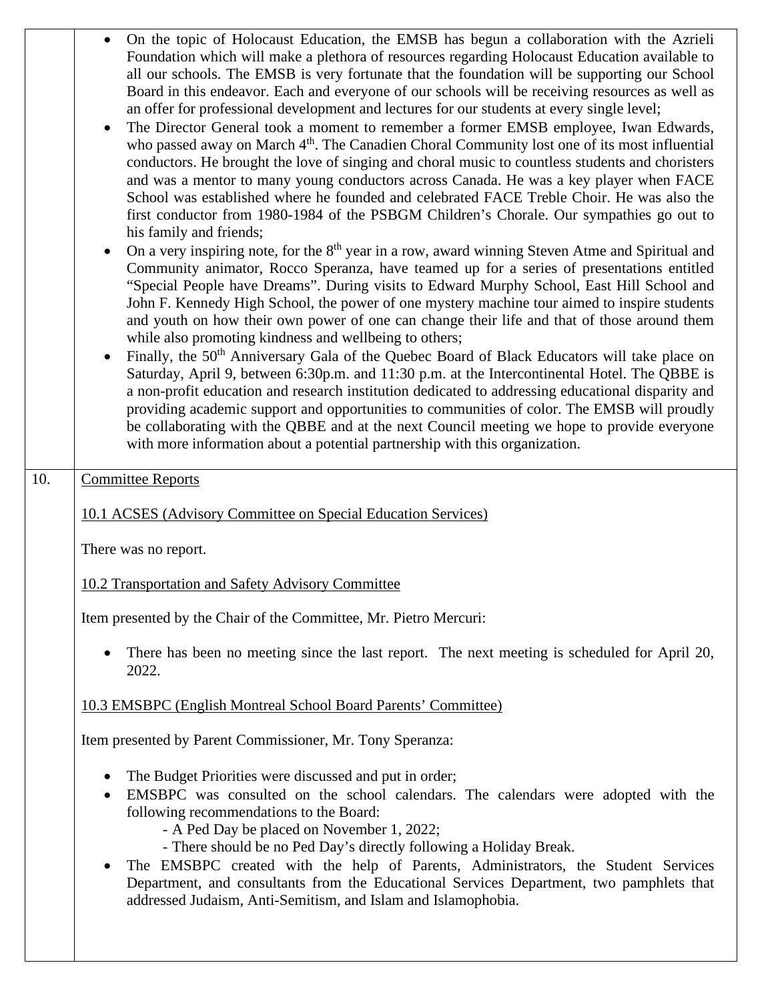|     | On the topic of Holocaust Education, the EMSB has begun a collaboration with the Azrieli<br>Foundation which will make a plethora of resources regarding Holocaust Education available to<br>all our schools. The EMSB is very fortunate that the foundation will be supporting our School<br>Board in this endeavor. Each and everyone of our schools will be receiving resources as well as<br>an offer for professional development and lectures for our students at every single level;<br>The Director General took a moment to remember a former EMSB employee, Iwan Edwards,<br>$\bullet$<br>who passed away on March 4 <sup>th</sup> . The Canadien Choral Community lost one of its most influential<br>conductors. He brought the love of singing and choral music to countless students and choristers<br>and was a mentor to many young conductors across Canada. He was a key player when FACE<br>School was established where he founded and celebrated FACE Treble Choir. He was also the<br>first conductor from 1980-1984 of the PSBGM Children's Chorale. Our sympathies go out to<br>his family and friends;<br>On a very inspiring note, for the 8 <sup>th</sup> year in a row, award winning Steven Atme and Spiritual and<br>Community animator, Rocco Speranza, have teamed up for a series of presentations entitled<br>"Special People have Dreams". During visits to Edward Murphy School, East Hill School and<br>John F. Kennedy High School, the power of one mystery machine tour aimed to inspire students<br>and youth on how their own power of one can change their life and that of those around them<br>while also promoting kindness and wellbeing to others;<br>Finally, the 50 <sup>th</sup> Anniversary Gala of the Quebec Board of Black Educators will take place on<br>Saturday, April 9, between 6:30p.m. and 11:30 p.m. at the Intercontinental Hotel. The QBBE is<br>a non-profit education and research institution dedicated to addressing educational disparity and<br>providing academic support and opportunities to communities of color. The EMSB will proudly<br>be collaborating with the QBBE and at the next Council meeting we hope to provide everyone<br>with more information about a potential partnership with this organization. |
|-----|--------------------------------------------------------------------------------------------------------------------------------------------------------------------------------------------------------------------------------------------------------------------------------------------------------------------------------------------------------------------------------------------------------------------------------------------------------------------------------------------------------------------------------------------------------------------------------------------------------------------------------------------------------------------------------------------------------------------------------------------------------------------------------------------------------------------------------------------------------------------------------------------------------------------------------------------------------------------------------------------------------------------------------------------------------------------------------------------------------------------------------------------------------------------------------------------------------------------------------------------------------------------------------------------------------------------------------------------------------------------------------------------------------------------------------------------------------------------------------------------------------------------------------------------------------------------------------------------------------------------------------------------------------------------------------------------------------------------------------------------------------------------------------------------------------------------------------------------------------------------------------------------------------------------------------------------------------------------------------------------------------------------------------------------------------------------------------------------------------------------------------------------------------------------------------------------------------------------------------------------------------------------------------------------------|
| 10. | <b>Committee Reports</b>                                                                                                                                                                                                                                                                                                                                                                                                                                                                                                                                                                                                                                                                                                                                                                                                                                                                                                                                                                                                                                                                                                                                                                                                                                                                                                                                                                                                                                                                                                                                                                                                                                                                                                                                                                                                                                                                                                                                                                                                                                                                                                                                                                                                                                                                         |
|     | 10.1 ACSES (Advisory Committee on Special Education Services)                                                                                                                                                                                                                                                                                                                                                                                                                                                                                                                                                                                                                                                                                                                                                                                                                                                                                                                                                                                                                                                                                                                                                                                                                                                                                                                                                                                                                                                                                                                                                                                                                                                                                                                                                                                                                                                                                                                                                                                                                                                                                                                                                                                                                                    |
|     | There was no report.                                                                                                                                                                                                                                                                                                                                                                                                                                                                                                                                                                                                                                                                                                                                                                                                                                                                                                                                                                                                                                                                                                                                                                                                                                                                                                                                                                                                                                                                                                                                                                                                                                                                                                                                                                                                                                                                                                                                                                                                                                                                                                                                                                                                                                                                             |
|     | 10.2 Transportation and Safety Advisory Committee                                                                                                                                                                                                                                                                                                                                                                                                                                                                                                                                                                                                                                                                                                                                                                                                                                                                                                                                                                                                                                                                                                                                                                                                                                                                                                                                                                                                                                                                                                                                                                                                                                                                                                                                                                                                                                                                                                                                                                                                                                                                                                                                                                                                                                                |
|     | Item presented by the Chair of the Committee, Mr. Pietro Mercuri:                                                                                                                                                                                                                                                                                                                                                                                                                                                                                                                                                                                                                                                                                                                                                                                                                                                                                                                                                                                                                                                                                                                                                                                                                                                                                                                                                                                                                                                                                                                                                                                                                                                                                                                                                                                                                                                                                                                                                                                                                                                                                                                                                                                                                                |
|     | There has been no meeting since the last report. The next meeting is scheduled for April 20,<br>$\bullet$<br>2022.                                                                                                                                                                                                                                                                                                                                                                                                                                                                                                                                                                                                                                                                                                                                                                                                                                                                                                                                                                                                                                                                                                                                                                                                                                                                                                                                                                                                                                                                                                                                                                                                                                                                                                                                                                                                                                                                                                                                                                                                                                                                                                                                                                               |
|     | 10.3 EMSBPC (English Montreal School Board Parents' Committee)                                                                                                                                                                                                                                                                                                                                                                                                                                                                                                                                                                                                                                                                                                                                                                                                                                                                                                                                                                                                                                                                                                                                                                                                                                                                                                                                                                                                                                                                                                                                                                                                                                                                                                                                                                                                                                                                                                                                                                                                                                                                                                                                                                                                                                   |
|     | Item presented by Parent Commissioner, Mr. Tony Speranza:                                                                                                                                                                                                                                                                                                                                                                                                                                                                                                                                                                                                                                                                                                                                                                                                                                                                                                                                                                                                                                                                                                                                                                                                                                                                                                                                                                                                                                                                                                                                                                                                                                                                                                                                                                                                                                                                                                                                                                                                                                                                                                                                                                                                                                        |
|     | The Budget Priorities were discussed and put in order;<br>EMSBPC was consulted on the school calendars. The calendars were adopted with the<br>$\bullet$<br>following recommendations to the Board:<br>- A Ped Day be placed on November 1, 2022;<br>- There should be no Ped Day's directly following a Holiday Break.<br>The EMSBPC created with the help of Parents, Administrators, the Student Services<br>$\bullet$<br>Department, and consultants from the Educational Services Department, two pamphlets that<br>addressed Judaism, Anti-Semitism, and Islam and Islamophobia.                                                                                                                                                                                                                                                                                                                                                                                                                                                                                                                                                                                                                                                                                                                                                                                                                                                                                                                                                                                                                                                                                                                                                                                                                                                                                                                                                                                                                                                                                                                                                                                                                                                                                                           |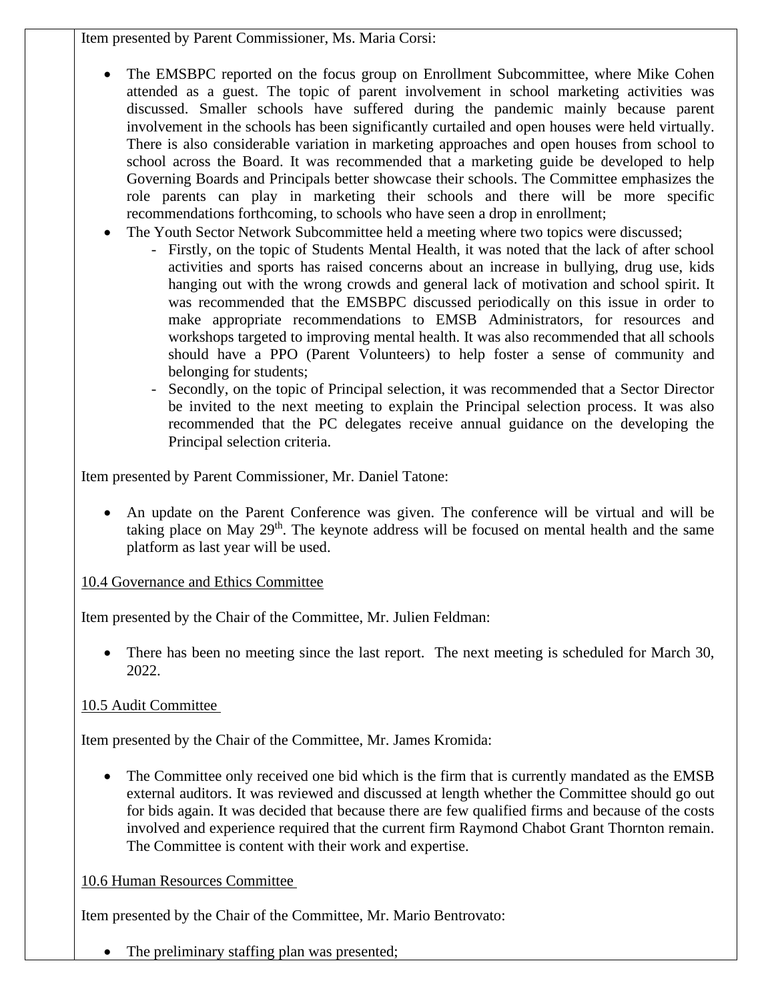Item presented by Parent Commissioner, Ms. Maria Corsi:

- The EMSBPC reported on the focus group on Enrollment Subcommittee, where Mike Cohen attended as a guest. The topic of parent involvement in school marketing activities was discussed. Smaller schools have suffered during the pandemic mainly because parent involvement in the schools has been significantly curtailed and open houses were held virtually. There is also considerable variation in marketing approaches and open houses from school to school across the Board. It was recommended that a marketing guide be developed to help Governing Boards and Principals better showcase their schools. The Committee emphasizes the role parents can play in marketing their schools and there will be more specific recommendations forthcoming, to schools who have seen a drop in enrollment;
- The Youth Sector Network Subcommittee held a meeting where two topics were discussed;
	- Firstly, on the topic of Students Mental Health, it was noted that the lack of after school activities and sports has raised concerns about an increase in bullying, drug use, kids hanging out with the wrong crowds and general lack of motivation and school spirit. It was recommended that the EMSBPC discussed periodically on this issue in order to make appropriate recommendations to EMSB Administrators, for resources and workshops targeted to improving mental health. It was also recommended that all schools should have a PPO (Parent Volunteers) to help foster a sense of community and belonging for students;
	- Secondly, on the topic of Principal selection, it was recommended that a Sector Director be invited to the next meeting to explain the Principal selection process. It was also recommended that the PC delegates receive annual guidance on the developing the Principal selection criteria.

Item presented by Parent Commissioner, Mr. Daniel Tatone:

• An update on the Parent Conference was given. The conference will be virtual and will be taking place on May  $29<sup>th</sup>$ . The keynote address will be focused on mental health and the same platform as last year will be used.

### 10.4 Governance and Ethics Committee

Item presented by the Chair of the Committee, Mr. Julien Feldman:

• There has been no meeting since the last report. The next meeting is scheduled for March 30, 2022.

# 10.5 Audit Committee

Item presented by the Chair of the Committee, Mr. James Kromida:

• The Committee only received one bid which is the firm that is currently mandated as the EMSB external auditors. It was reviewed and discussed at length whether the Committee should go out for bids again. It was decided that because there are few qualified firms and because of the costs involved and experience required that the current firm Raymond Chabot Grant Thornton remain. The Committee is content with their work and expertise.

# 10.6 Human Resources Committee

Item presented by the Chair of the Committee, Mr. Mario Bentrovato:

• The preliminary staffing plan was presented;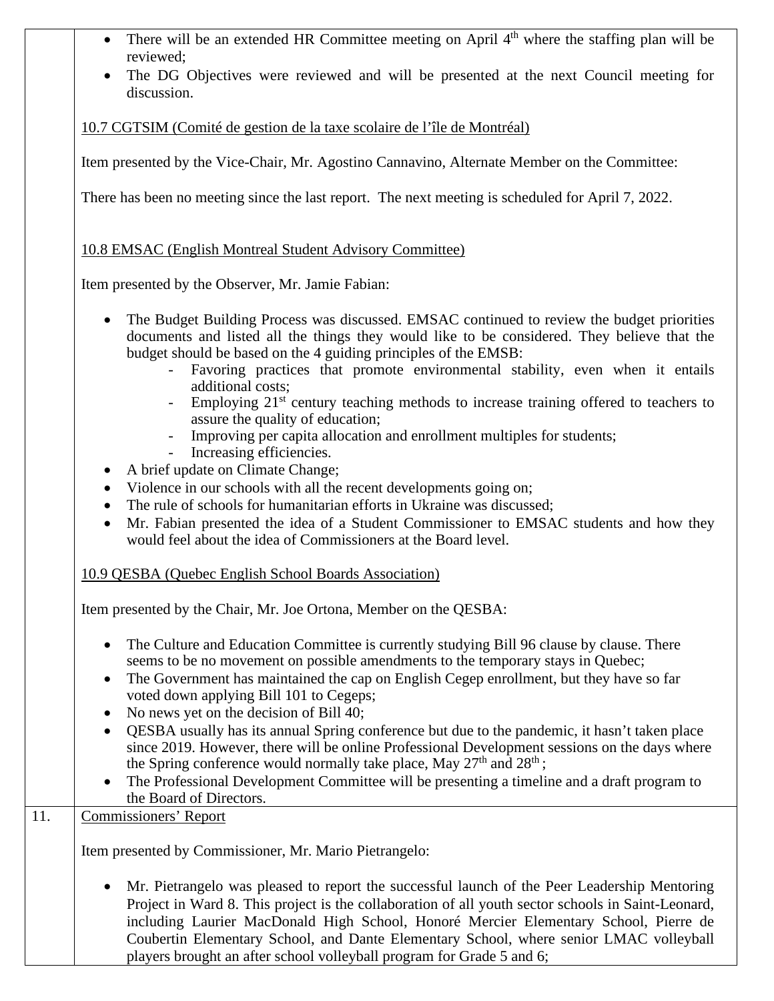- There will be an extended HR Committee meeting on April  $4<sup>th</sup>$  where the staffing plan will be reviewed;
- The DG Objectives were reviewed and will be presented at the next Council meeting for discussion.

10.7 CGTSIM (Comité de gestion de la taxe scolaire de l'île de Montréal)

Item presented by the Vice-Chair, Mr. Agostino Cannavino, Alternate Member on the Committee:

There has been no meeting since the last report. The next meeting is scheduled for April 7, 2022.

### 10.8 EMSAC (English Montreal Student Advisory Committee)

Item presented by the Observer, Mr. Jamie Fabian:

- The Budget Building Process was discussed. EMSAC continued to review the budget priorities documents and listed all the things they would like to be considered. They believe that the budget should be based on the 4 guiding principles of the EMSB:
	- Favoring practices that promote environmental stability, even when it entails additional costs;
	- Employing 21<sup>st</sup> century teaching methods to increase training offered to teachers to assure the quality of education;
	- Improving per capita allocation and enrollment multiples for students;
	- Increasing efficiencies.
- A brief update on Climate Change;
- Violence in our schools with all the recent developments going on;
- The rule of schools for humanitarian efforts in Ukraine was discussed;
- Mr. Fabian presented the idea of a Student Commissioner to EMSAC students and how they would feel about the idea of Commissioners at the Board level.

### 10.9 QESBA (Quebec English School Boards Association)

Item presented by the Chair, Mr. Joe Ortona, Member on the QESBA:

- The Culture and Education Committee is currently studying Bill 96 clause by clause. There seems to be no movement on possible amendments to the temporary stays in Quebec;
- The Government has maintained the cap on English Cegep enrollment, but they have so far voted down applying Bill 101 to Cegeps;
- No news yet on the decision of Bill 40;
- QESBA usually has its annual Spring conference but due to the pandemic, it hasn't taken place since 2019. However, there will be online Professional Development sessions on the days where the Spring conference would normally take place, May 27<sup>th</sup> and 28<sup>th</sup>;
- The Professional Development Committee will be presenting a timeline and a draft program to the Board of Directors.

| 11. | <b>Commissioners' Report</b>                                                                                                                                                                                                                                                               |
|-----|--------------------------------------------------------------------------------------------------------------------------------------------------------------------------------------------------------------------------------------------------------------------------------------------|
|     | Item presented by Commissioner, Mr. Mario Pietrangelo:                                                                                                                                                                                                                                     |
|     | Mr. Pietrangelo was pleased to report the successful launch of the Peer Leadership Mentoring<br>Project in Ward 8. This project is the collaboration of all youth sector schools in Saint-Leonard,<br>including Laurier MacDonald High School, Honoré Mercier Elementary School, Pierre de |
|     | Coubertin Elementary School, and Dante Elementary School, where senior LMAC volleyball<br>players brought an after school volleyball program for Grade 5 and 6;                                                                                                                            |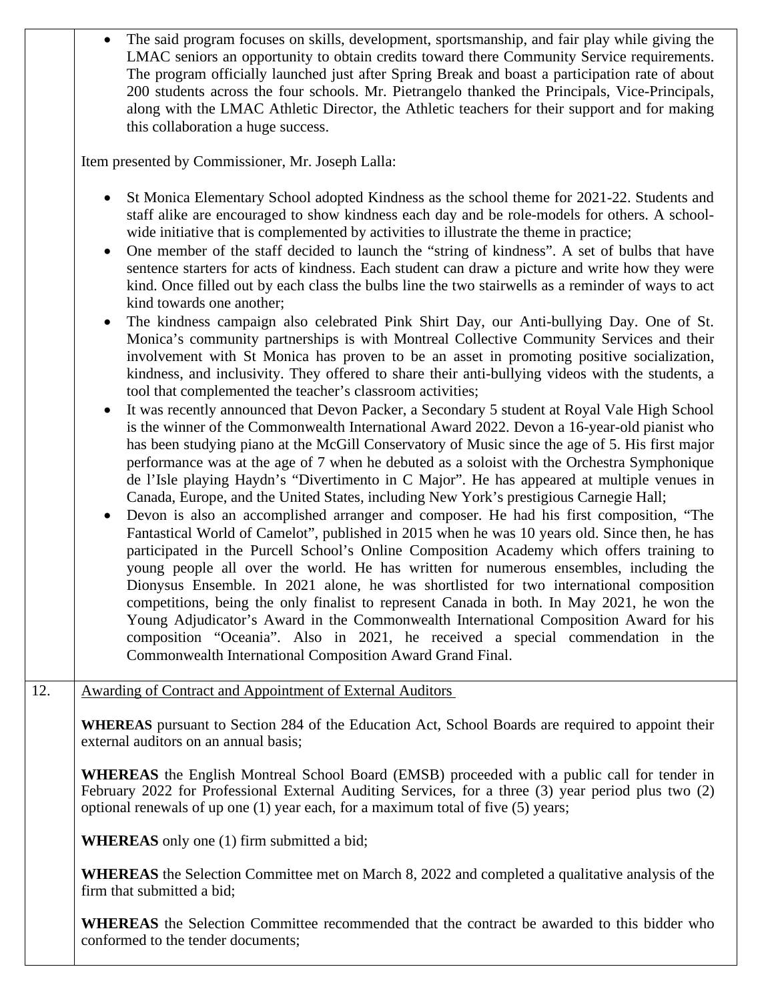• The said program focuses on skills, development, sportsmanship, and fair play while giving the LMAC seniors an opportunity to obtain credits toward there Community Service requirements. The program officially launched just after Spring Break and boast a participation rate of about 200 students across the four schools. Mr. Pietrangelo thanked the Principals, Vice-Principals, along with the LMAC Athletic Director, the Athletic teachers for their support and for making this collaboration a huge success.

Item presented by Commissioner, Mr. Joseph Lalla:

- St Monica Elementary School adopted Kindness as the school theme for 2021-22. Students and staff alike are encouraged to show kindness each day and be role-models for others. A schoolwide initiative that is complemented by activities to illustrate the theme in practice;
- One member of the staff decided to launch the "string of kindness". A set of bulbs that have sentence starters for acts of kindness. Each student can draw a picture and write how they were kind. Once filled out by each class the bulbs line the two stairwells as a reminder of ways to act kind towards one another;
- The kindness campaign also celebrated Pink Shirt Day, our Anti-bullying Day. One of St. Monica's community partnerships is with Montreal Collective Community Services and their involvement with St Monica has proven to be an asset in promoting positive socialization, kindness, and inclusivity. They offered to share their anti-bullying videos with the students, a tool that complemented the teacher's classroom activities;
- It was recently announced that Devon Packer, a Secondary 5 student at Royal Vale High School is the winner of the Commonwealth International Award 2022. Devon a 16-year-old pianist who has been studying piano at the McGill Conservatory of Music since the age of 5. His first major performance was at the age of 7 when he debuted as a soloist with the Orchestra Symphonique de l'Isle playing Haydn's "Divertimento in C Major". He has appeared at multiple venues in Canada, Europe, and the United States, including New York's prestigious Carnegie Hall;
- Devon is also an accomplished arranger and composer. He had his first composition, "The Fantastical World of Camelot", published in 2015 when he was 10 years old. Since then, he has participated in the Purcell School's Online Composition Academy which offers training to young people all over the world. He has written for numerous ensembles, including the Dionysus Ensemble. In 2021 alone, he was shortlisted for two international composition competitions, being the only finalist to represent Canada in both. In May 2021, he won the Young Adjudicator's Award in the Commonwealth International Composition Award for his composition "Oceania". Also in 2021, he received a special commendation in the Commonwealth International Composition Award Grand Final.
- 12. Awarding of Contract and Appointment of External Auditors

**WHEREAS** pursuant to Section 284 of the Education Act, School Boards are required to appoint their external auditors on an annual basis;

**WHEREAS** the English Montreal School Board (EMSB) proceeded with a public call for tender in February 2022 for Professional External Auditing Services, for a three (3) year period plus two (2) optional renewals of up one (1) year each, for a maximum total of five (5) years;

**WHEREAS** only one (1) firm submitted a bid;

**WHEREAS** the Selection Committee met on March 8, 2022 and completed a qualitative analysis of the firm that submitted a bid;

**WHEREAS** the Selection Committee recommended that the contract be awarded to this bidder who conformed to the tender documents;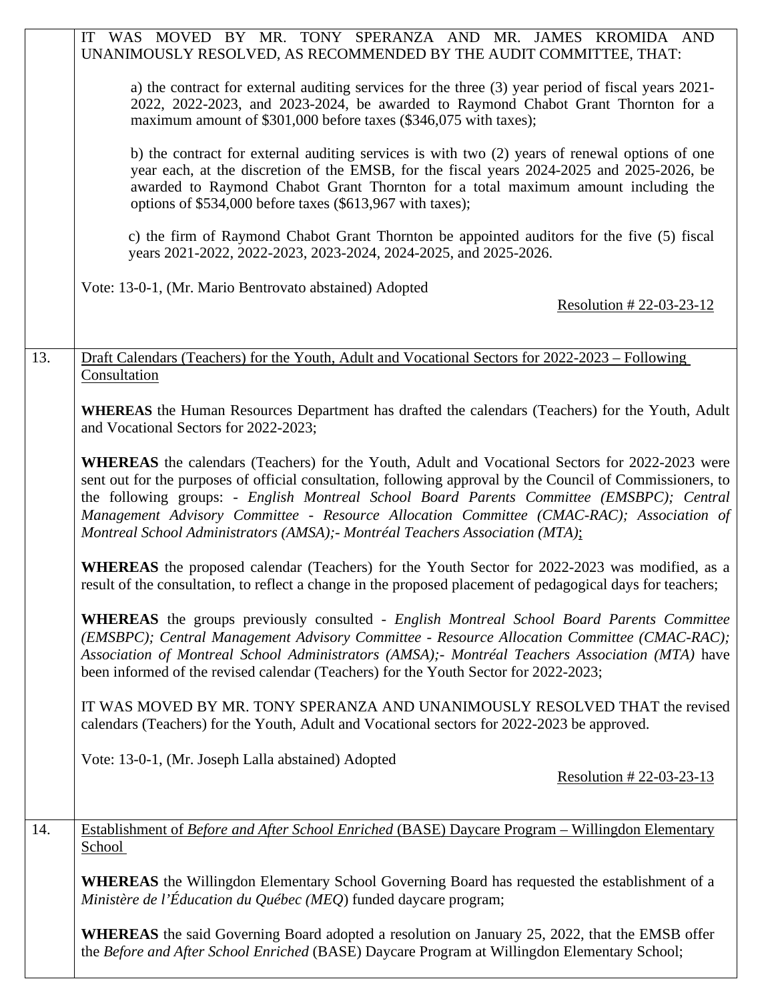|     | IT WAS MOVED BY MR. TONY SPERANZA AND MR. JAMES KROMIDA AND<br>UNANIMOUSLY RESOLVED, AS RECOMMENDED BY THE AUDIT COMMITTEE, THAT:                                                                                                                                                                                                                                                                                                                                                              |
|-----|------------------------------------------------------------------------------------------------------------------------------------------------------------------------------------------------------------------------------------------------------------------------------------------------------------------------------------------------------------------------------------------------------------------------------------------------------------------------------------------------|
|     | a) the contract for external auditing services for the three (3) year period of fiscal years 2021-<br>2022, 2022-2023, and 2023-2024, be awarded to Raymond Chabot Grant Thornton for a<br>maximum amount of \$301,000 before taxes (\$346,075 with taxes);                                                                                                                                                                                                                                    |
|     | b) the contract for external auditing services is with two (2) years of renewal options of one<br>year each, at the discretion of the EMSB, for the fiscal years 2024-2025 and 2025-2026, be<br>awarded to Raymond Chabot Grant Thornton for a total maximum amount including the<br>options of \$534,000 before taxes (\$613,967 with taxes);                                                                                                                                                 |
|     | c) the firm of Raymond Chabot Grant Thornton be appointed auditors for the five (5) fiscal<br>years 2021-2022, 2022-2023, 2023-2024, 2024-2025, and 2025-2026.                                                                                                                                                                                                                                                                                                                                 |
|     | Vote: 13-0-1, (Mr. Mario Bentrovato abstained) Adopted<br>Resolution #22-03-23-12                                                                                                                                                                                                                                                                                                                                                                                                              |
| 13. | Draft Calendars (Teachers) for the Youth, Adult and Vocational Sectors for 2022-2023 – Following<br>Consultation                                                                                                                                                                                                                                                                                                                                                                               |
|     | WHEREAS the Human Resources Department has drafted the calendars (Teachers) for the Youth, Adult<br>and Vocational Sectors for 2022-2023;                                                                                                                                                                                                                                                                                                                                                      |
|     | <b>WHEREAS</b> the calendars (Teachers) for the Youth, Adult and Vocational Sectors for 2022-2023 were<br>sent out for the purposes of official consultation, following approval by the Council of Commissioners, to<br>the following groups: - English Montreal School Board Parents Committee (EMSBPC); Central<br>Management Advisory Committee - Resource Allocation Committee (CMAC-RAC); Association of<br>Montreal School Administrators (AMSA); - Montréal Teachers Association (MTA); |
|     | <b>WHEREAS</b> the proposed calendar (Teachers) for the Youth Sector for 2022-2023 was modified, as a<br>result of the consultation, to reflect a change in the proposed placement of pedagogical days for teachers;                                                                                                                                                                                                                                                                           |
|     | WHEREAS the groups previously consulted - English Montreal School Board Parents Committee<br>(EMSBPC); Central Management Advisory Committee - Resource Allocation Committee (CMAC-RAC);<br>Association of Montreal School Administrators (AMSA); - Montréal Teachers Association (MTA) have<br>been informed of the revised calendar (Teachers) for the Youth Sector for 2022-2023;                                                                                                           |
|     | IT WAS MOVED BY MR. TONY SPERANZA AND UNANIMOUSLY RESOLVED THAT the revised<br>calendars (Teachers) for the Youth, Adult and Vocational sectors for 2022-2023 be approved.                                                                                                                                                                                                                                                                                                                     |
|     | Vote: 13-0-1, (Mr. Joseph Lalla abstained) Adopted<br>Resolution #22-03-23-13                                                                                                                                                                                                                                                                                                                                                                                                                  |
| 14. | Establishment of Before and After School Enriched (BASE) Daycare Program - Willingdon Elementary<br>School                                                                                                                                                                                                                                                                                                                                                                                     |
|     | <b>WHEREAS</b> the Willingdon Elementary School Governing Board has requested the establishment of a<br>Ministère de l'Éducation du Québec (MEQ) funded daycare program;                                                                                                                                                                                                                                                                                                                       |
|     | <b>WHEREAS</b> the said Governing Board adopted a resolution on January 25, 2022, that the EMSB offer<br>the Before and After School Enriched (BASE) Daycare Program at Willingdon Elementary School;                                                                                                                                                                                                                                                                                          |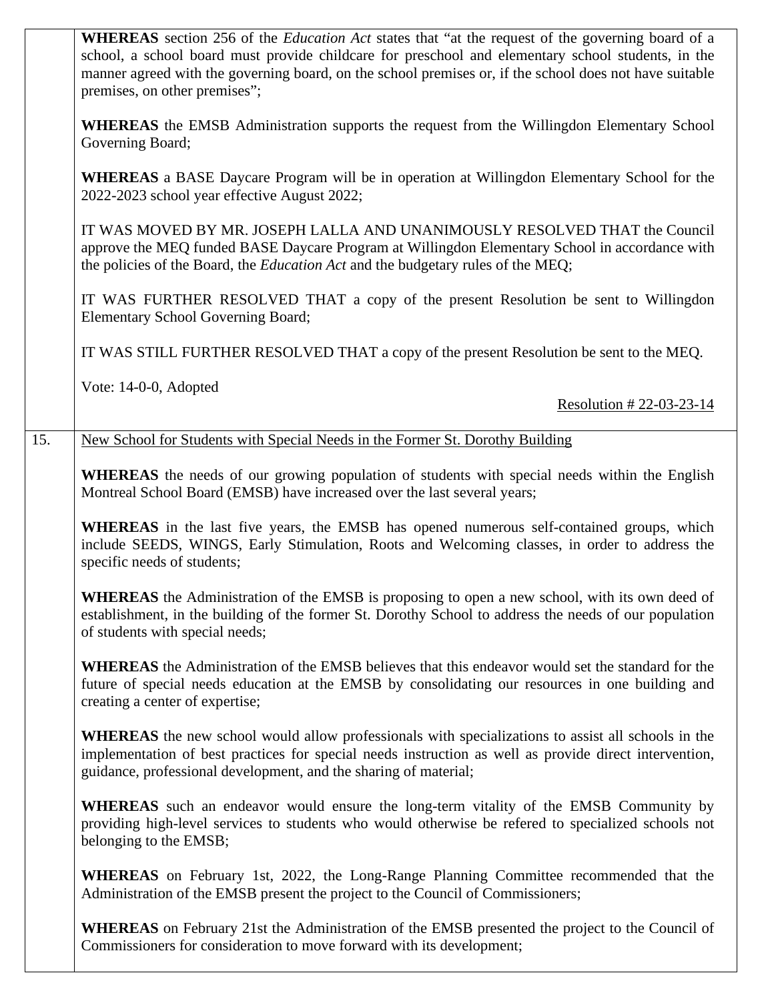|     | <b>WHEREAS</b> section 256 of the <i>Education Act</i> states that "at the request of the governing board of a<br>school, a school board must provide childcare for preschool and elementary school students, in the<br>manner agreed with the governing board, on the school premises or, if the school does not have suitable<br>premises, on other premises"; |
|-----|------------------------------------------------------------------------------------------------------------------------------------------------------------------------------------------------------------------------------------------------------------------------------------------------------------------------------------------------------------------|
|     | <b>WHEREAS</b> the EMSB Administration supports the request from the Willingdon Elementary School<br>Governing Board;                                                                                                                                                                                                                                            |
|     | WHEREAS a BASE Daycare Program will be in operation at Willingdon Elementary School for the<br>2022-2023 school year effective August 2022;                                                                                                                                                                                                                      |
|     | IT WAS MOVED BY MR. JOSEPH LALLA AND UNANIMOUSLY RESOLVED THAT the Council<br>approve the MEQ funded BASE Daycare Program at Willingdon Elementary School in accordance with<br>the policies of the Board, the Education Act and the budgetary rules of the MEQ;                                                                                                 |
|     | IT WAS FURTHER RESOLVED THAT a copy of the present Resolution be sent to Willingdon<br><b>Elementary School Governing Board;</b>                                                                                                                                                                                                                                 |
|     | IT WAS STILL FURTHER RESOLVED THAT a copy of the present Resolution be sent to the MEQ.                                                                                                                                                                                                                                                                          |
|     | Vote: 14-0-0, Adopted<br>Resolution # 22-03-23-14                                                                                                                                                                                                                                                                                                                |
| 15. | New School for Students with Special Needs in the Former St. Dorothy Building                                                                                                                                                                                                                                                                                    |
|     | <b>WHEREAS</b> the needs of our growing population of students with special needs within the English<br>Montreal School Board (EMSB) have increased over the last several years;                                                                                                                                                                                 |
|     | <b>WHEREAS</b> in the last five years, the EMSB has opened numerous self-contained groups, which<br>include SEEDS, WINGS, Early Stimulation, Roots and Welcoming classes, in order to address the<br>specific needs of students;                                                                                                                                 |
|     | WHEREAS the Administration of the EMSB is proposing to open a new school, with its own deed of<br>establishment, in the building of the former St. Dorothy School to address the needs of our population<br>of students with special needs;                                                                                                                      |
|     | <b>WHEREAS</b> the Administration of the EMSB believes that this endeavor would set the standard for the<br>future of special needs education at the EMSB by consolidating our resources in one building and<br>creating a center of expertise;                                                                                                                  |
|     | <b>WHEREAS</b> the new school would allow professionals with specializations to assist all schools in the<br>implementation of best practices for special needs instruction as well as provide direct intervention,<br>guidance, professional development, and the sharing of material;                                                                          |
|     | <b>WHEREAS</b> such an endeavor would ensure the long-term vitality of the EMSB Community by<br>providing high-level services to students who would otherwise be refered to specialized schools not<br>belonging to the EMSB;                                                                                                                                    |
|     | WHEREAS on February 1st, 2022, the Long-Range Planning Committee recommended that the<br>Administration of the EMSB present the project to the Council of Commissioners;                                                                                                                                                                                         |
|     | <b>WHEREAS</b> on February 21st the Administration of the EMSB presented the project to the Council of<br>Commissioners for consideration to move forward with its development;                                                                                                                                                                                  |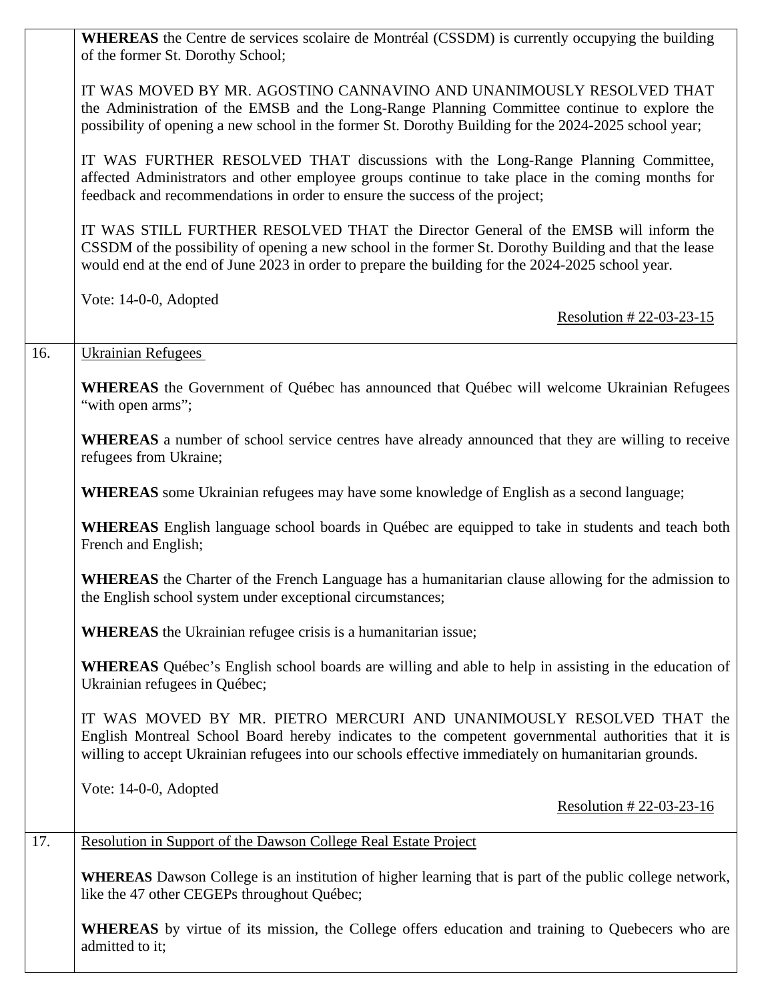|     | <b>WHEREAS</b> the Centre de services scolaire de Montréal (CSSDM) is currently occupying the building<br>of the former St. Dorothy School;                                                                                                                                                        |
|-----|----------------------------------------------------------------------------------------------------------------------------------------------------------------------------------------------------------------------------------------------------------------------------------------------------|
|     | IT WAS MOVED BY MR. AGOSTINO CANNAVINO AND UNANIMOUSLY RESOLVED THAT<br>the Administration of the EMSB and the Long-Range Planning Committee continue to explore the<br>possibility of opening a new school in the former St. Dorothy Building for the 2024-2025 school year;                      |
|     | IT WAS FURTHER RESOLVED THAT discussions with the Long-Range Planning Committee,<br>affected Administrators and other employee groups continue to take place in the coming months for<br>feedback and recommendations in order to ensure the success of the project;                               |
|     | IT WAS STILL FURTHER RESOLVED THAT the Director General of the EMSB will inform the<br>CSSDM of the possibility of opening a new school in the former St. Dorothy Building and that the lease<br>would end at the end of June 2023 in order to prepare the building for the 2024-2025 school year. |
|     | Vote: 14-0-0, Adopted                                                                                                                                                                                                                                                                              |
|     | Resolution #22-03-23-15                                                                                                                                                                                                                                                                            |
| 16. | <b>Ukrainian Refugees</b>                                                                                                                                                                                                                                                                          |
|     | WHEREAS the Government of Québec has announced that Québec will welcome Ukrainian Refugees<br>"with open arms";                                                                                                                                                                                    |
|     | <b>WHEREAS</b> a number of school service centres have already announced that they are willing to receive<br>refugees from Ukraine;                                                                                                                                                                |
|     | <b>WHEREAS</b> some Ukrainian refugees may have some knowledge of English as a second language;                                                                                                                                                                                                    |
|     | <b>WHEREAS</b> English language school boards in Québec are equipped to take in students and teach both<br>French and English;                                                                                                                                                                     |
|     | <b>WHEREAS</b> the Charter of the French Language has a humanitarian clause allowing for the admission to<br>the English school system under exceptional circumstances;                                                                                                                            |
|     | <b>WHEREAS</b> the Ukrainian refugee crisis is a humanitarian issue;                                                                                                                                                                                                                               |
|     | <b>WHEREAS</b> Québec's English school boards are willing and able to help in assisting in the education of<br>Ukrainian refugees in Québec;                                                                                                                                                       |
|     | IT WAS MOVED BY MR. PIETRO MERCURI AND UNANIMOUSLY RESOLVED THAT the<br>English Montreal School Board hereby indicates to the competent governmental authorities that it is<br>willing to accept Ukrainian refugees into our schools effective immediately on humanitarian grounds.                |
|     | Vote: 14-0-0, Adopted                                                                                                                                                                                                                                                                              |
|     | Resolution # 22-03-23-16                                                                                                                                                                                                                                                                           |
| 17. | Resolution in Support of the Dawson College Real Estate Project                                                                                                                                                                                                                                    |
|     | WHEREAS Dawson College is an institution of higher learning that is part of the public college network,<br>like the 47 other CEGEPs throughout Québec;                                                                                                                                             |
|     | <b>WHEREAS</b> by virtue of its mission, the College offers education and training to Quebecers who are<br>admitted to it;                                                                                                                                                                         |
|     |                                                                                                                                                                                                                                                                                                    |

 $\mathsf{L}$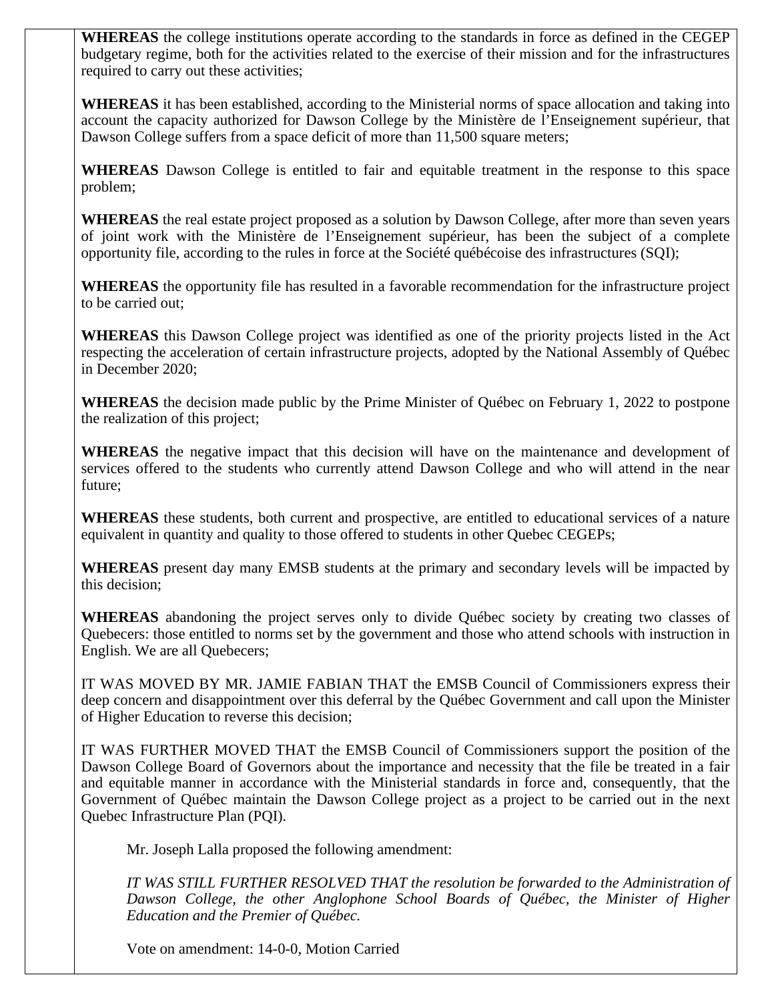**WHEREAS** the college institutions operate according to the standards in force as defined in the CEGEP budgetary regime, both for the activities related to the exercise of their mission and for the infrastructures required to carry out these activities;

**WHEREAS** it has been established, according to the Ministerial norms of space allocation and taking into account the capacity authorized for Dawson College by the Ministère de l'Enseignement supérieur, that Dawson College suffers from a space deficit of more than 11,500 square meters;

**WHEREAS** Dawson College is entitled to fair and equitable treatment in the response to this space problem;

**WHEREAS** the real estate project proposed as a solution by Dawson College, after more than seven years of joint work with the Ministère de l'Enseignement supérieur, has been the subject of a complete opportunity file, according to the rules in force at the Société québécoise des infrastructures (SQI);

**WHEREAS** the opportunity file has resulted in a favorable recommendation for the infrastructure project to be carried out;

**WHEREAS** this Dawson College project was identified as one of the priority projects listed in the Act respecting the acceleration of certain infrastructure projects, adopted by the National Assembly of Québec in December 2020;

**WHEREAS** the decision made public by the Prime Minister of Québec on February 1, 2022 to postpone the realization of this project;

**WHEREAS** the negative impact that this decision will have on the maintenance and development of services offered to the students who currently attend Dawson College and who will attend in the near future;

**WHEREAS** these students, both current and prospective, are entitled to educational services of a nature equivalent in quantity and quality to those offered to students in other Quebec CEGEPs;

**WHEREAS** present day many EMSB students at the primary and secondary levels will be impacted by this decision;

**WHEREAS** abandoning the project serves only to divide Québec society by creating two classes of Quebecers: those entitled to norms set by the government and those who attend schools with instruction in English. We are all Quebecers;

IT WAS MOVED BY MR. JAMIE FABIAN THAT the EMSB Council of Commissioners express their deep concern and disappointment over this deferral by the Québec Government and call upon the Minister of Higher Education to reverse this decision;

IT WAS FURTHER MOVED THAT the EMSB Council of Commissioners support the position of the Dawson College Board of Governors about the importance and necessity that the file be treated in a fair and equitable manner in accordance with the Ministerial standards in force and, consequently, that the Government of Québec maintain the Dawson College project as a project to be carried out in the next Quebec Infrastructure Plan (PQI).

Mr. Joseph Lalla proposed the following amendment:

*IT WAS STILL FURTHER RESOLVED THAT the resolution be forwarded to the Administration of Dawson College, the other Anglophone School Boards of Québec, the Minister of Higher Education and the Premier of Québec.*

Vote on amendment: 14-0-0, Motion Carried